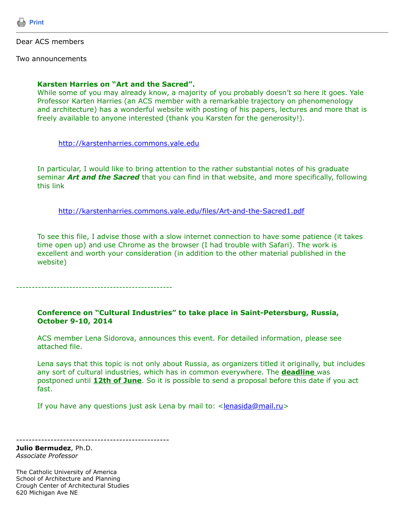

## Dear ACS members

Two announcements

## **Karsten Harries on "Art and the Sacred".**

While some of you may already know, a majority of you probably doesn't so here it goes. Yale Professor Karten Harries (an ACS member with a remarkable trajectory on phenomenology and architecture) has a wonderful website with posting of his papers, lectures and more that is freely available to anyone interested (thank you Karsten for the generosity!).

[http://karstenharries.commons.yale.edu](http://karstenharries.commons.yale.edu/)

In particular, I would like to bring attention to the rather substantial notes of his graduate seminar *Art and the Sacred* that you can find in that website, and more specifically, following this link

<http://karstenharries.commons.yale.edu/files/Art-and-the-Sacred1.pdf>

To see this file, I advise those with a slow internet connection to have some patience (it takes time open up) and use Chrome as the browser (I had trouble with Safari). The work is excellent and worth your consideration (in addition to the other material published in the website)

--------------------------------------------------

## **Conference on "Cultural Industries" to take place in Saint-Petersburg, Russia, October 9-10, 2014**

ACS member Lena Sidorova, announces this event. For detailed information, please see attached file.

Lena says that this topic is not only about Russia, as organizers titled it originally, but includes any sort of cultural industries, which has in common everywhere. The **deadline** was postponed until **12th of June**. So it is possible to send a proposal before this date if you act fast.

If you have any questions just ask Lena by mail to:  $\leq$  lenasida@mail.ru>

-------------------------------------------------

**Julio Bermudez**, Ph.D. *Associate Professor*

The Catholic University of America School of Architecture and Planning Crough Center of Architectural Studies 620 Michigan Ave NE